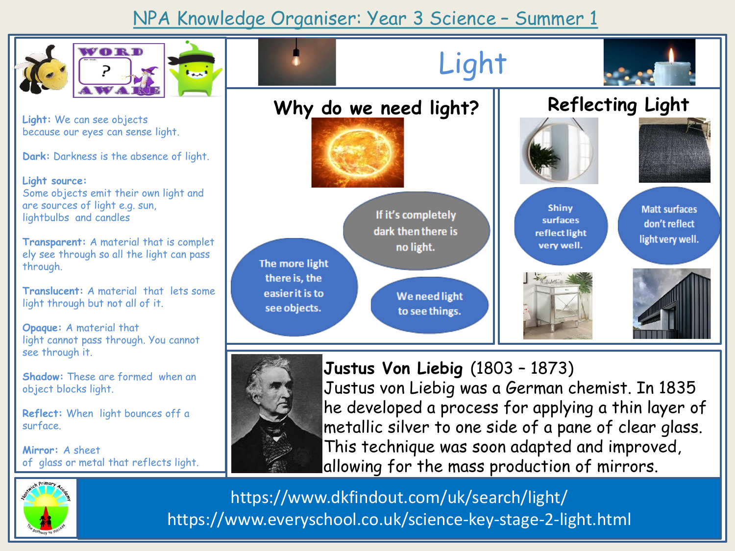## NPA Knowledge Organiser: Year 3 Science – Summer 1



https://www.everyschool.co.uk/science-key-stage-2-light.html